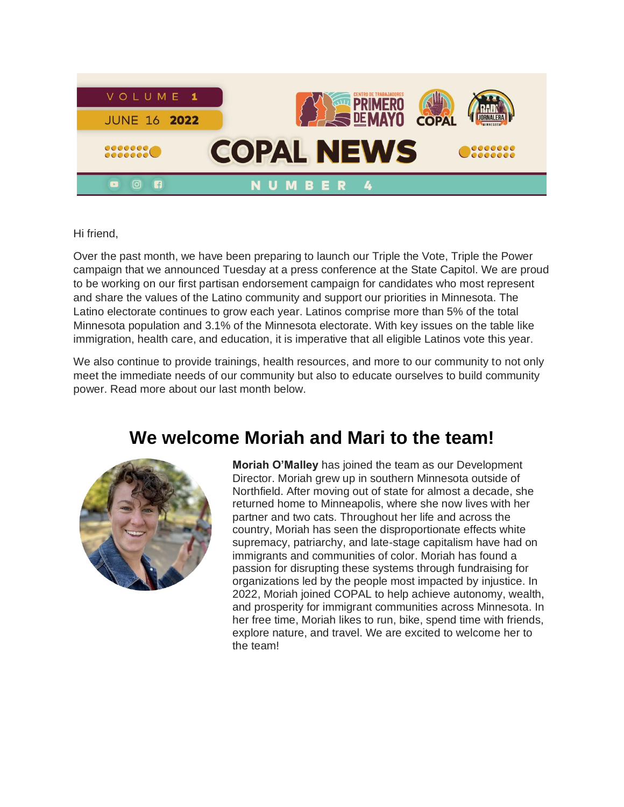

Hi friend,

Over the past month, we have been preparing to launch our Triple the Vote, Triple the Power campaign that we announced Tuesday at a press conference at the State Capitol. We are proud to be working on our first partisan endorsement campaign for candidates who most represent and share the values of the Latino community and support our priorities in Minnesota. The Latino electorate continues to grow each year. Latinos comprise more than 5% of the total Minnesota population and 3.1% of the Minnesota electorate. With key issues on the table like immigration, health care, and education, it is imperative that all eligible Latinos vote this year.

We also continue to provide trainings, health resources, and more to our community to not only meet the immediate needs of our community but also to educate ourselves to build community power. Read more about our last month below.

### **We welcome Moriah and Mari to the team!**



**Moriah O'Malley** has joined the team as our Development Director. Moriah grew up in southern Minnesota outside of Northfield. After moving out of state for almost a decade, she returned home to Minneapolis, where she now lives with her partner and two cats. Throughout her life and across the country, Moriah has seen the disproportionate effects white supremacy, patriarchy, and late-stage capitalism have had on immigrants and communities of color. Moriah has found a passion for disrupting these systems through fundraising for organizations led by the people most impacted by injustice. In 2022, Moriah joined COPAL to help achieve autonomy, wealth, and prosperity for immigrant communities across Minnesota. In her free time, Moriah likes to run, bike, spend time with friends, explore nature, and travel. We are excited to welcome her to the team!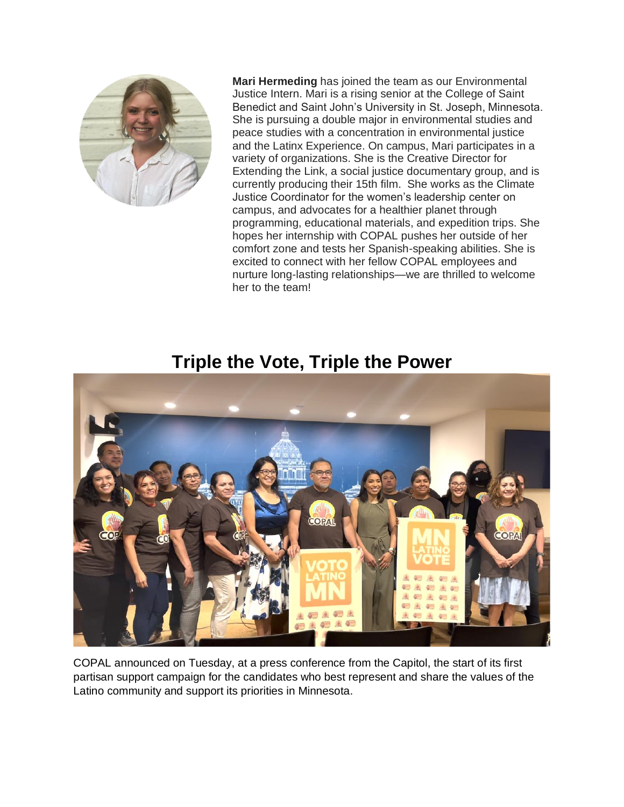

**Mari Hermeding** has joined the team as our Environmental Justice Intern. Mari is a rising senior at the College of Saint Benedict and Saint John's University in St. Joseph, Minnesota. She is pursuing a double major in environmental studies and peace studies with a concentration in environmental justice and the Latinx Experience. On campus, Mari participates in a variety of organizations. She is the Creative Director for Extending the Link, a social justice documentary group, and is currently producing their 15th film. She works as the Climate Justice Coordinator for the women's leadership center on campus, and advocates for a healthier planet through programming, educational materials, and expedition trips. She hopes her internship with COPAL pushes her outside of her comfort zone and tests her Spanish-speaking abilities. She is excited to connect with her fellow COPAL employees and nurture long-lasting relationships—we are thrilled to welcome her to the team!

#### **Triple the Vote, Triple the Power**



COPAL announced on Tuesday, at a press conference from the Capitol, the start of its first partisan support campaign for the candidates who best represent and share the values of the Latino community and support its priorities in Minnesota.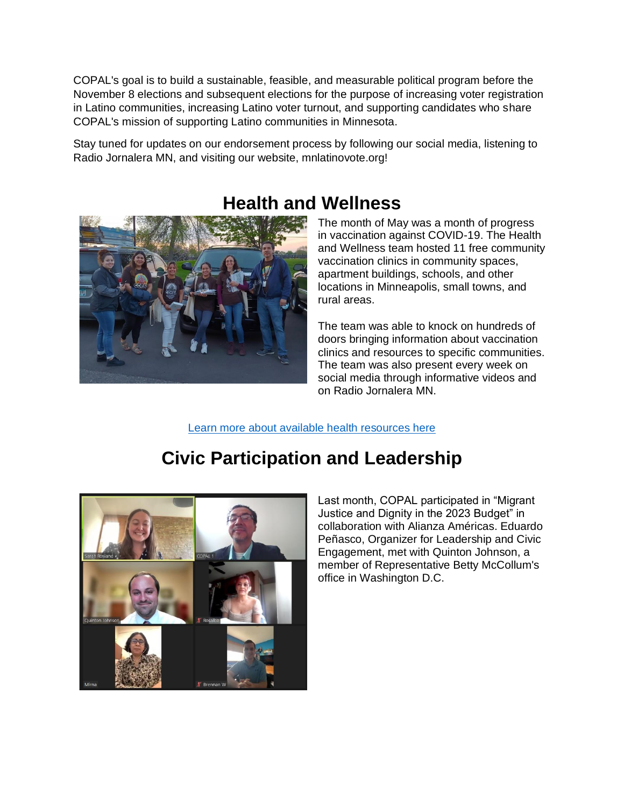COPAL's goal is to build a sustainable, feasible, and measurable political program before the November 8 elections and subsequent elections for the purpose of increasing voter registration in Latino communities, increasing Latino voter turnout, and supporting candidates who share COPAL's mission of supporting Latino communities in Minnesota.

Stay tuned for updates on our endorsement process by following our social media, listening to Radio Jornalera MN, and visiting our website, mnlatinovote.org!



## **Health and Wellness**

The month of May was a month of progress in vaccination against COVID-19. The Health and Wellness team hosted 11 free community vaccination clinics in community spaces, apartment buildings, schools, and other locations in Minneapolis, small towns, and rural areas.

The team was able to knock on hundreds of doors bringing information about vaccination clinics and resources to specific communities. The team was also present every week on social media through informative videos and on Radio Jornalera MN.

[Learn more about available health resources here](https://copalmn.org/en/vaccine/)

# **Civic Participation and Leadership**



Last month, COPAL participated in "Migrant Justice and Dignity in the 2023 Budget" in collaboration with Alianza Américas. Eduardo Peñasco, Organizer for Leadership and Civic Engagement, met with Quinton Johnson, a member of Representative Betty McCollum's office in Washington D.C.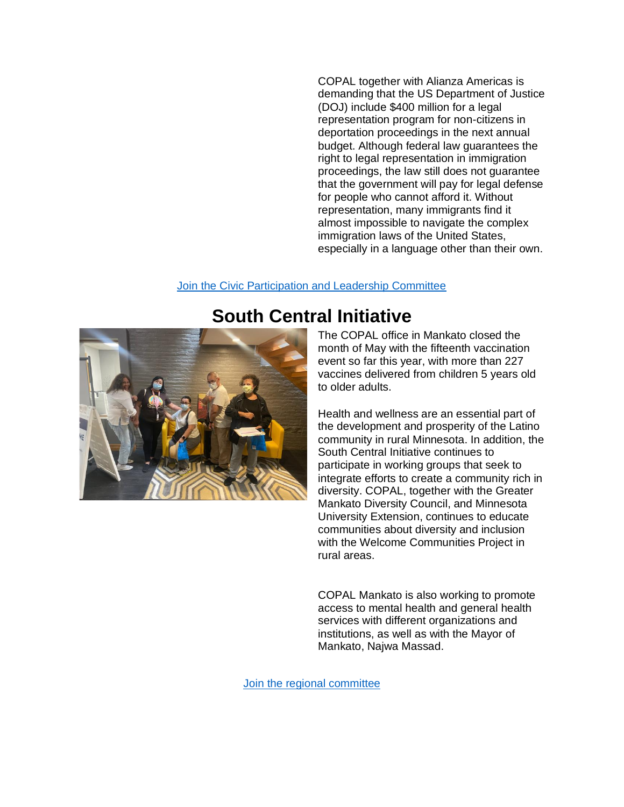COPAL together with Alianza Americas is demanding that the US Department of Justice (DOJ) include \$400 million for a legal representation program for non-citizens in deportation proceedings in the next annual budget. Although federal law guarantees the right to legal representation in immigration proceedings, the law still does not guarantee that the government will pay for legal defense for people who cannot afford it. Without representation, many immigrants find it almost impossible to navigate the complex immigration laws of the United States, especially in a language other than their own.

#### [Join the Civic Participation and Leadership Committee](https://copalmn.org/en/civic-participation-and-leadership/)



#### **South Central Initiative**

The COPAL office in Mankato closed the month of May with the fifteenth vaccination event so far this year, with more than 227 vaccines delivered from children 5 years old to older adults.

Health and wellness are an essential part of the development and prosperity of the Latino community in rural Minnesota. In addition, the South Central Initiative continues to participate in working groups that seek to integrate efforts to create a community rich in diversity. COPAL, together with the Greater Mankato Diversity Council, and Minnesota University Extension, continues to educate communities about diversity and inclusion with the Welcome Communities Project in rural areas.

COPAL Mankato is also working to promote access to mental health and general health services with different organizations and institutions, as well as with the Mayor of Mankato, Najwa Massad.

[Join the regional committee](https://copalmn.org/en/project/south-central-initiative/)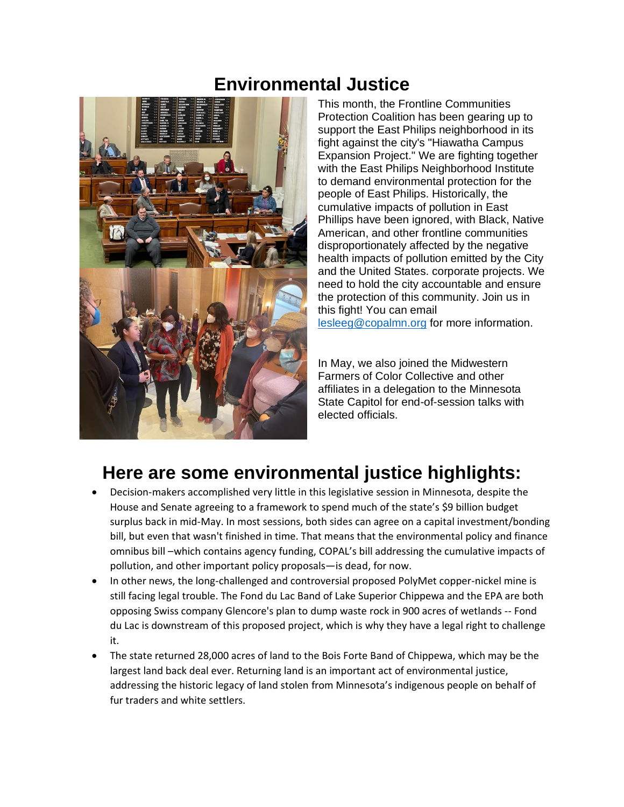### **Environmental Justice**



This month, the Frontline Communities Protection Coalition has been gearing up to support the East Philips neighborhood in its fight against the city's "Hiawatha Campus Expansion Project." We are fighting together with the East Philips Neighborhood Institute to demand environmental protection for the people of East Philips. Historically, the cumulative impacts of pollution in East Phillips have been ignored, with Black, Native American, and other frontline communities disproportionately affected by the negative health impacts of pollution emitted by the City and the United States. corporate projects. We need to hold the city accountable and ensure the protection of this community. Join us in this fight! You can email [lesleeg@copalmn.org](mailto:lesleeg@copalmn.org) for more information.

In May, we also joined the Midwestern Farmers of Color Collective and other affiliates in a delegation to the Minnesota State Capitol for end-of-session talks with elected officials.

## **Here are some environmental justice highlights:**

- Decision-makers accomplished very little in this legislative session in Minnesota, despite the House and Senate agreeing to a framework to spend much of the state's \$9 billion budget surplus back in mid-May. In most sessions, both sides can agree on a capital investment/bonding bill, but even that wasn't finished in time. That means that the environmental policy and finance omnibus bill –which contains agency funding, COPAL's bill addressing the cumulative impacts of pollution, and other important policy proposals—is dead, for now.
- In other news, the long-challenged and controversial proposed PolyMet copper-nickel mine is still facing legal trouble. The Fond du Lac Band of Lake Superior Chippewa and the EPA are both opposing Swiss company Glencore's plan to dump waste rock in 900 acres of wetlands -- Fond du Lac is downstream of this proposed project, which is why they have a legal right to challenge it.
- The state returned 28,000 acres of land to the Bois Forte Band of Chippewa, which may be the largest land back deal ever. Returning land is an important act of environmental justice, addressing the historic legacy of land stolen from Minnesota's indigenous people on behalf of fur traders and white settlers.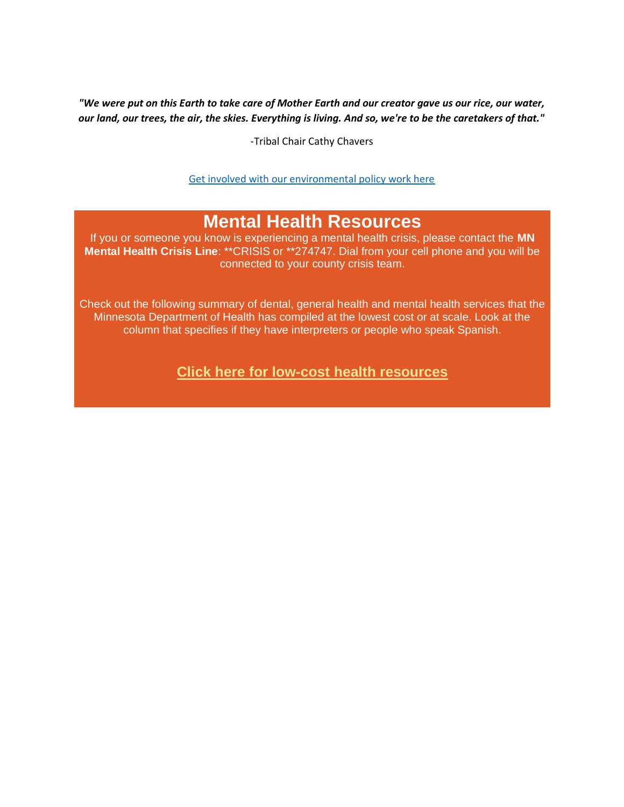*"We were put on this Earth to take care of Mother Earth and our creator gave us our rice, our water, our land, our trees, the air, the skies. Everything is living. And so, we're to be the caretakers of that."* 

-Tribal Chair Cathy Chavers

[Get involved with our environmental policy work here](https://secure.everyaction.com/UPr_2h1j4UehHwTxa6Tdow2?emci=c47e25c9-3ad1-ec11-b656-281878b8c32f&emdi=ea000000-0000-0000-0000-000000000001&ceid=)

### **Mental Health Resources**

If you or someone you know is experiencing a mental health crisis, please contact the **MN Mental Health Crisis Line**: \*\*CRISIS or \*\*274747. Dial from your cell phone and you will be connected to your county crisis team.

Check out the following summary of dental, general health and mental health services that the Minnesota Department of Health has compiled at the lowest cost or at scale. Look at the column that specifies if they have interpreters or people who speak Spanish.

**[Click here for low-cost health resources](https://refugeedirectories.web.health.state.mn.us/health-services?emci=3c882f2b-e2e5-ec11-b656-281878b85110&emdi=ea000000-0000-0000-0000-000000000001&ceid=)**